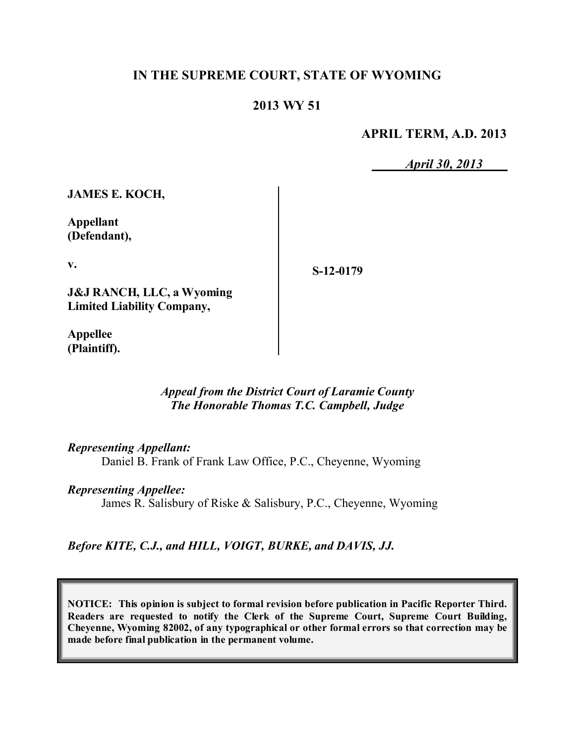# **IN THE SUPREME COURT, STATE OF WYOMING**

# **2013 WY 51**

**APRIL TERM, A.D. 2013**

*April 30, 2013*

**JAMES E. KOCH,**

**Appellant (Defendant),**

**v.**

**S-12-0179**

**J&J RANCH, LLC, a Wyoming Limited Liability Company,**

**Appellee (Plaintiff).**

#### *Appeal from the District Court of Laramie County The Honorable Thomas T.C. Campbell, Judge*

*Representing Appellant:*

Daniel B. Frank of Frank Law Office, P.C., Cheyenne, Wyoming

*Representing Appellee:*

James R. Salisbury of Riske & Salisbury, P.C., Cheyenne, Wyoming

*Before KITE, C.J., and HILL, VOIGT, BURKE, and DAVIS, JJ.*

**NOTICE: This opinion is subject to formal revision before publication in Pacific Reporter Third. Readers are requested to notify the Clerk of the Supreme Court, Supreme Court Building, Cheyenne, Wyoming 82002, of any typographical or other formal errors so that correction may be made before final publication in the permanent volume.**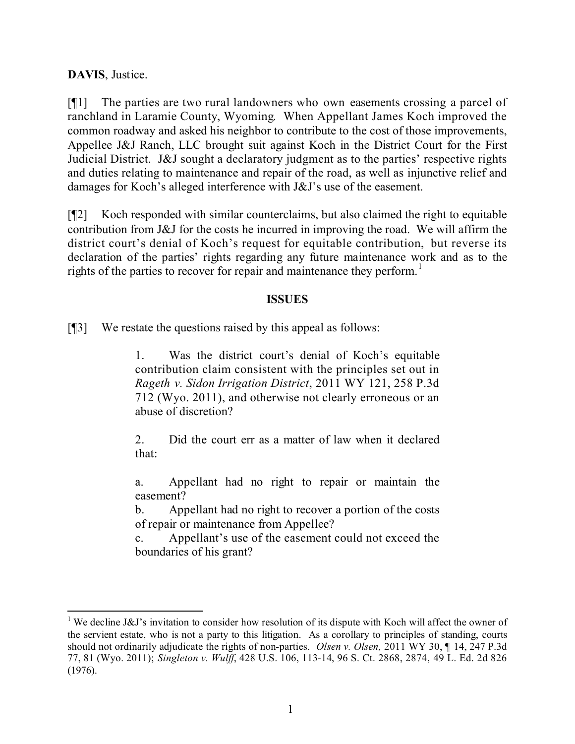**DAVIS**, Justice.

 $\overline{a}$ 

[¶1] The parties are two rural landowners who own easements crossing a parcel of ranchland in Laramie County, Wyoming. When Appellant James Koch improved the common roadway and asked his neighbor to contribute to the cost of those improvements, Appellee J&J Ranch, LLC brought suit against Koch in the District Court for the First Judicial District. J&J sought a declaratory judgment as to the parties' respective rights and duties relating to maintenance and repair of the road, as well as injunctive relief and damages for Koch's alleged interference with J&J's use of the easement.

[¶2] Koch responded with similar counterclaims, but also claimed the right to equitable contribution from J&J for the costs he incurred in improving the road. We will affirm the district court's denial of Koch's request for equitable contribution, but reverse its declaration of the parties' rights regarding any future maintenance work and as to the rights of the parties to recover for repair and maintenance they perform.<sup>1</sup>

### **ISSUES**

[¶3] We restate the questions raised by this appeal as follows:

1. Was the district court's denial of Koch's equitable contribution claim consistent with the principles set out in *Rageth v. Sidon Irrigation District*, 2011 WY 121, 258 P.3d 712 (Wyo. 2011), and otherwise not clearly erroneous or an abuse of discretion?

2. Did the court err as a matter of law when it declared that:

a. Appellant had no right to repair or maintain the easement?

b. Appellant had no right to recover a portion of the costs of repair or maintenance from Appellee?

c. Appellant's use of the easement could not exceed the boundaries of his grant?

<sup>&</sup>lt;sup>1</sup> We decline J&J's invitation to consider how resolution of its dispute with Koch will affect the owner of the servient estate, who is not a party to this litigation. As a corollary to principles of standing, courts should not ordinarily adjudicate the rights of non-parties. *Olsen v. Olsen,* 2011 WY 30, ¶ 14, 247 P.3d 77, 81 (Wyo. 2011); *Singleton v. Wulff*, 428 U.S. 106, 113-14, 96 S. Ct. 2868, 2874, 49 L. Ed. 2d 826 (1976).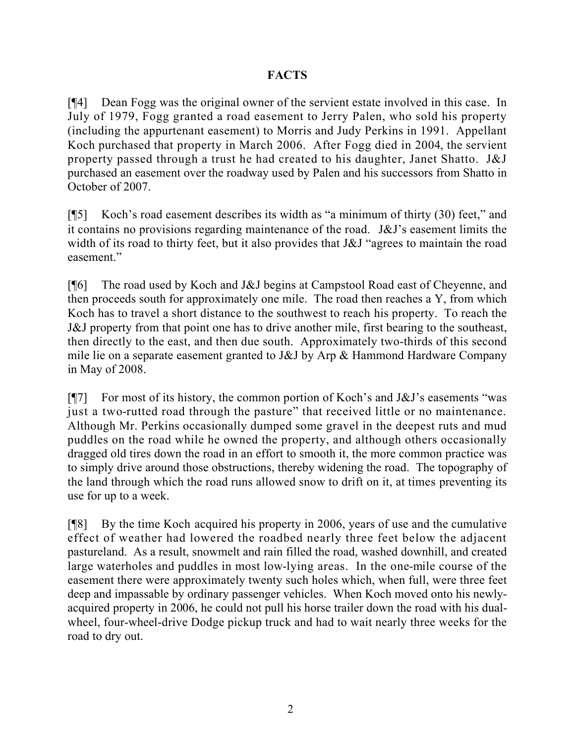# **FACTS**

[¶4] Dean Fogg was the original owner of the servient estate involved in this case. In July of 1979, Fogg granted a road easement to Jerry Palen, who sold his property (including the appurtenant easement) to Morris and Judy Perkins in 1991. Appellant Koch purchased that property in March 2006. After Fogg died in 2004, the servient property passed through a trust he had created to his daughter, Janet Shatto. J&J purchased an easement over the roadway used by Palen and his successors from Shatto in October of 2007.

[¶5] Koch's road easement describes its width as "a minimum of thirty (30) feet," and it contains no provisions regarding maintenance of the road. J&J's easement limits the width of its road to thirty feet, but it also provides that J&J "agrees to maintain the road easement."

[¶6] The road used by Koch and J&J begins at Campstool Road east of Cheyenne, and then proceeds south for approximately one mile. The road then reaches a Y, from which Koch has to travel a short distance to the southwest to reach his property. To reach the J&J property from that point one has to drive another mile, first bearing to the southeast, then directly to the east, and then due south. Approximately two-thirds of this second mile lie on a separate easement granted to J&J by Arp & Hammond Hardware Company in May of 2008.

[ $\llbracket$ ] For most of its history, the common portion of Koch's and J&J's easements "was just a two-rutted road through the pasture" that received little or no maintenance. Although Mr. Perkins occasionally dumped some gravel in the deepest ruts and mud puddles on the road while he owned the property, and although others occasionally dragged old tires down the road in an effort to smooth it, the more common practice was to simply drive around those obstructions, thereby widening the road. The topography of the land through which the road runs allowed snow to drift on it, at times preventing its use for up to a week.

[¶8] By the time Koch acquired his property in 2006, years of use and the cumulative effect of weather had lowered the roadbed nearly three feet below the adjacent pastureland. As a result, snowmelt and rain filled the road, washed downhill, and created large waterholes and puddles in most low-lying areas. In the one-mile course of the easement there were approximately twenty such holes which, when full, were three feet deep and impassable by ordinary passenger vehicles. When Koch moved onto his newlyacquired property in 2006, he could not pull his horse trailer down the road with his dualwheel, four-wheel-drive Dodge pickup truck and had to wait nearly three weeks for the road to dry out.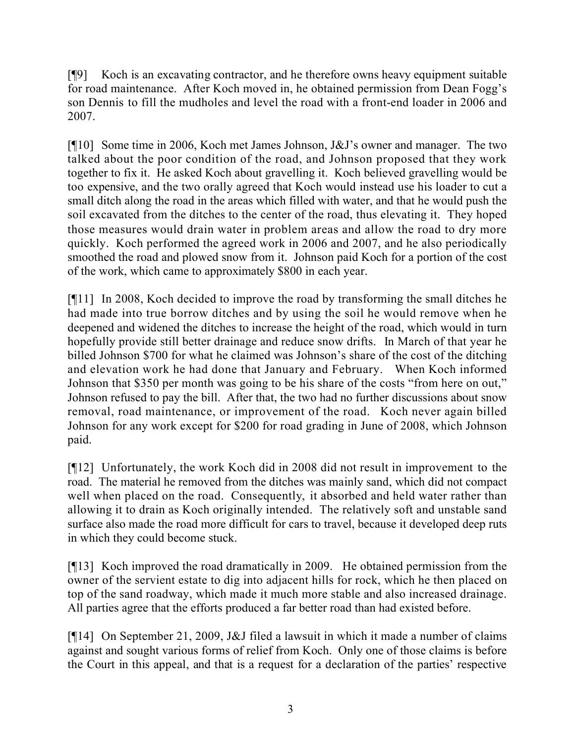[¶9] Koch is an excavating contractor, and he therefore owns heavy equipment suitable for road maintenance. After Koch moved in, he obtained permission from Dean Fogg's son Dennis to fill the mudholes and level the road with a front-end loader in 2006 and 2007.

[¶10] Some time in 2006, Koch met James Johnson, J&J's owner and manager. The two talked about the poor condition of the road, and Johnson proposed that they work together to fix it. He asked Koch about gravelling it. Koch believed gravelling would be too expensive, and the two orally agreed that Koch would instead use his loader to cut a small ditch along the road in the areas which filled with water, and that he would push the soil excavated from the ditches to the center of the road, thus elevating it. They hoped those measures would drain water in problem areas and allow the road to dry more quickly. Koch performed the agreed work in 2006 and 2007, and he also periodically smoothed the road and plowed snow from it. Johnson paid Koch for a portion of the cost of the work, which came to approximately \$800 in each year.

[¶11] In 2008, Koch decided to improve the road by transforming the small ditches he had made into true borrow ditches and by using the soil he would remove when he deepened and widened the ditches to increase the height of the road, which would in turn hopefully provide still better drainage and reduce snow drifts. In March of that year he billed Johnson \$700 for what he claimed was Johnson's share of the cost of the ditching and elevation work he had done that January and February. When Koch informed Johnson that \$350 per month was going to be his share of the costs "from here on out," Johnson refused to pay the bill. After that, the two had no further discussions about snow removal, road maintenance, or improvement of the road. Koch never again billed Johnson for any work except for \$200 for road grading in June of 2008, which Johnson paid.

[¶12] Unfortunately, the work Koch did in 2008 did not result in improvement to the road. The material he removed from the ditches was mainly sand, which did not compact well when placed on the road. Consequently, it absorbed and held water rather than allowing it to drain as Koch originally intended. The relatively soft and unstable sand surface also made the road more difficult for cars to travel, because it developed deep ruts in which they could become stuck.

[¶13] Koch improved the road dramatically in 2009. He obtained permission from the owner of the servient estate to dig into adjacent hills for rock, which he then placed on top of the sand roadway, which made it much more stable and also increased drainage. All parties agree that the efforts produced a far better road than had existed before.

[¶14] On September 21, 2009, J&J filed a lawsuit in which it made a number of claims against and sought various forms of relief from Koch. Only one of those claims is before the Court in this appeal, and that is a request for a declaration of the parties' respective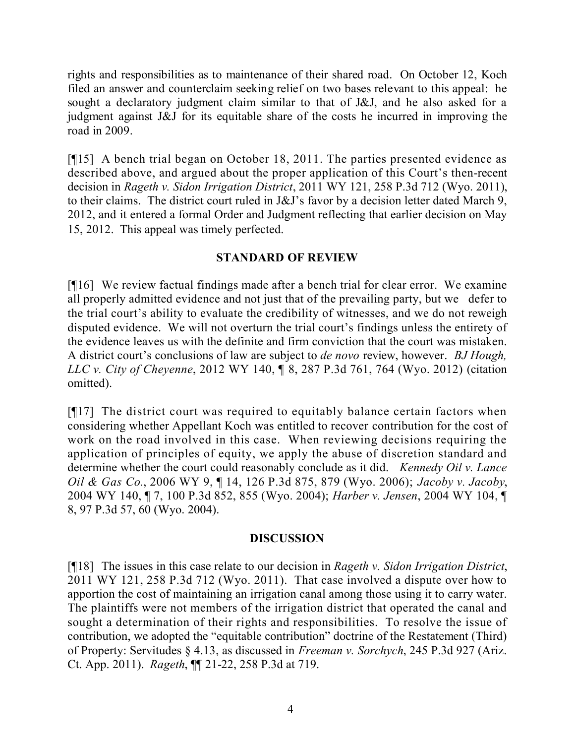rights and responsibilities as to maintenance of their shared road. On October 12, Koch filed an answer and counterclaim seeking relief on two bases relevant to this appeal: he sought a declaratory judgment claim similar to that of J&J, and he also asked for a judgment against J&J for its equitable share of the costs he incurred in improving the road in 2009.

[¶15] A bench trial began on October 18, 2011. The parties presented evidence as described above, and argued about the proper application of this Court's then-recent decision in *Rageth v. Sidon Irrigation District*, 2011 WY 121, 258 P.3d 712 (Wyo. 2011), to their claims. The district court ruled in J&J's favor by a decision letter dated March 9, 2012, and it entered a formal Order and Judgment reflecting that earlier decision on May 15, 2012. This appeal was timely perfected.

# **STANDARD OF REVIEW**

[¶16] We review factual findings made after a bench trial for clear error. We examine all properly admitted evidence and not just that of the prevailing party, but we defer to the trial court's ability to evaluate the credibility of witnesses, and we do not reweigh disputed evidence. We will not overturn the trial court's findings unless the entirety of the evidence leaves us with the definite and firm conviction that the court was mistaken. A district court's conclusions of law are subject to *de novo* review, however. *BJ Hough, LLC v. City of Cheyenne*, 2012 WY 140, ¶ 8, 287 P.3d 761, 764 (Wyo. 2012) (citation omitted).

[¶17] The district court was required to equitably balance certain factors when considering whether Appellant Koch was entitled to recover contribution for the cost of work on the road involved in this case. When reviewing decisions requiring the application of principles of equity, we apply the abuse of discretion standard and determine whether the court could reasonably conclude as it did. *Kennedy Oil v. Lance Oil & Gas Co.*, 2006 WY 9, ¶ 14, 126 P.3d 875, 879 (Wyo. 2006); *Jacoby v. Jacoby*, 2004 WY 140, ¶ 7, 100 P.3d 852, 855 (Wyo. 2004); *Harber v. Jensen*, 2004 WY 104, ¶ 8, 97 P.3d 57, 60 (Wyo. 2004).

### **DISCUSSION**

[¶18] The issues in this case relate to our decision in *Rageth v. Sidon Irrigation District*, 2011 WY 121, 258 P.3d 712 (Wyo. 2011). That case involved a dispute over how to apportion the cost of maintaining an irrigation canal among those using it to carry water. The plaintiffs were not members of the irrigation district that operated the canal and sought a determination of their rights and responsibilities. To resolve the issue of contribution, we adopted the "equitable contribution" doctrine of the Restatement (Third) of Property: Servitudes § 4.13, as discussed in *Freeman v. Sorchych*, 245 P.3d 927 (Ariz. Ct. App. 2011). *Rageth*, ¶¶ 21-22, 258 P.3d at 719.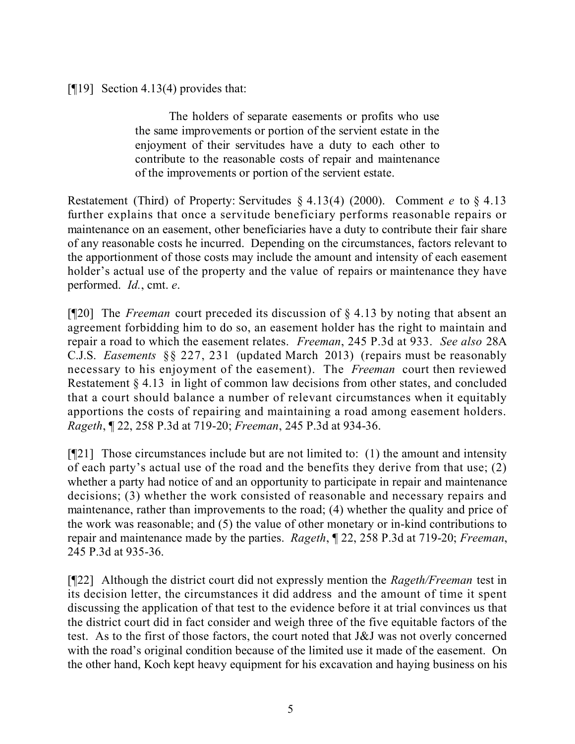[¶19] Section 4.13(4) provides that:

The holders of separate easements or profits who use the same improvements or portion of the servient estate in the enjoyment of their servitudes have a duty to each other to contribute to the reasonable costs of repair and maintenance of the improvements or portion of the servient estate.

Restatement (Third) of Property: Servitudes § 4.13(4) (2000). Comment *e* to § 4.13 further explains that once a servitude beneficiary performs reasonable repairs or maintenance on an easement, other beneficiaries have a duty to contribute their fair share of any reasonable costs he incurred. Depending on the circumstances, factors relevant to the apportionment of those costs may include the amount and intensity of each easement holder's actual use of the property and the value of repairs or maintenance they have performed. *Id.*, cmt. *e*.

[¶20] The *Freeman* court preceded its discussion of § 4.13 by noting that absent an agreement forbidding him to do so, an easement holder has the right to maintain and repair a road to which the easement relates. *Freeman*, 245 P.3d at 933. *See also* 28A C.J.S. *Easements* §§ 227, 231 (updated March 2013) (repairs must be reasonably necessary to his enjoyment of the easement). The *Freeman* court then reviewed Restatement § 4.13 in light of common law decisions from other states, and concluded that a court should balance a number of relevant circumstances when it equitably apportions the costs of repairing and maintaining a road among easement holders. *Rageth*, ¶ 22, 258 P.3d at 719-20; *Freeman*, 245 P.3d at 934-36.

 $[$ [[21] Those circumstances include but are not limited to: (1) the amount and intensity of each party's actual use of the road and the benefits they derive from that use; (2) whether a party had notice of and an opportunity to participate in repair and maintenance decisions; (3) whether the work consisted of reasonable and necessary repairs and maintenance, rather than improvements to the road; (4) whether the quality and price of the work was reasonable; and (5) the value of other monetary or in-kind contributions to repair and maintenance made by the parties. *Rageth*, ¶ 22, 258 P.3d at 719-20; *Freeman*, 245 P.3d at 935-36.

[¶22] Although the district court did not expressly mention the *Rageth/Freeman* test in its decision letter, the circumstances it did address and the amount of time it spent discussing the application of that test to the evidence before it at trial convinces us that the district court did in fact consider and weigh three of the five equitable factors of the test. As to the first of those factors, the court noted that J&J was not overly concerned with the road's original condition because of the limited use it made of the easement. On the other hand, Koch kept heavy equipment for his excavation and haying business on his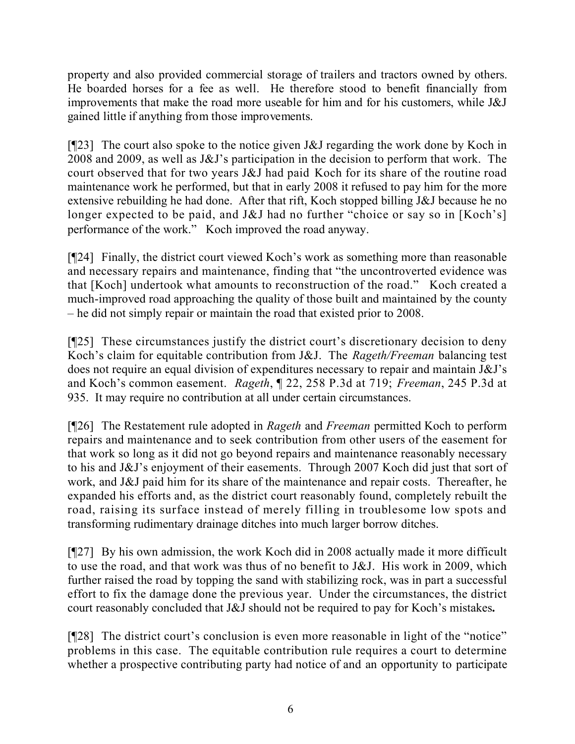property and also provided commercial storage of trailers and tractors owned by others. He boarded horses for a fee as well. He therefore stood to benefit financially from improvements that make the road more useable for him and for his customers, while J&J gained little if anything from those improvements.

[ $[$ [23] The court also spoke to the notice given J&J regarding the work done by Koch in 2008 and 2009, as well as J&J's participation in the decision to perform that work. The court observed that for two years J&J had paid Koch for its share of the routine road maintenance work he performed, but that in early 2008 it refused to pay him for the more extensive rebuilding he had done. After that rift, Koch stopped billing J&J because he no longer expected to be paid, and J&J had no further "choice or say so in [Koch's] performance of the work." Koch improved the road anyway.

[¶24] Finally, the district court viewed Koch's work as something more than reasonable and necessary repairs and maintenance, finding that "the uncontroverted evidence was that [Koch] undertook what amounts to reconstruction of the road." Koch created a much-improved road approaching the quality of those built and maintained by the county – he did not simply repair or maintain the road that existed prior to 2008.

[¶25] These circumstances justify the district court's discretionary decision to deny Koch's claim for equitable contribution from J&J. The *Rageth/Freeman* balancing test does not require an equal division of expenditures necessary to repair and maintain J&J's and Koch's common easement. *Rageth*, ¶ 22, 258 P.3d at 719; *Freeman*, 245 P.3d at 935. It may require no contribution at all under certain circumstances.

[¶26] The Restatement rule adopted in *Rageth* and *Freeman* permitted Koch to perform repairs and maintenance and to seek contribution from other users of the easement for that work so long as it did not go beyond repairs and maintenance reasonably necessary to his and J&J's enjoyment of their easements. Through 2007 Koch did just that sort of work, and J&J paid him for its share of the maintenance and repair costs. Thereafter, he expanded his efforts and, as the district court reasonably found, completely rebuilt the road, raising its surface instead of merely filling in troublesome low spots and transforming rudimentary drainage ditches into much larger borrow ditches.

[¶27] By his own admission, the work Koch did in 2008 actually made it more difficult to use the road, and that work was thus of no benefit to J&J. His work in 2009, which further raised the road by topping the sand with stabilizing rock, was in part a successful effort to fix the damage done the previous year. Under the circumstances, the district court reasonably concluded that J&J should not be required to pay for Koch's mistakes**.**

[¶28] The district court's conclusion is even more reasonable in light of the "notice" problems in this case. The equitable contribution rule requires a court to determine whether a prospective contributing party had notice of and an opportunity to participate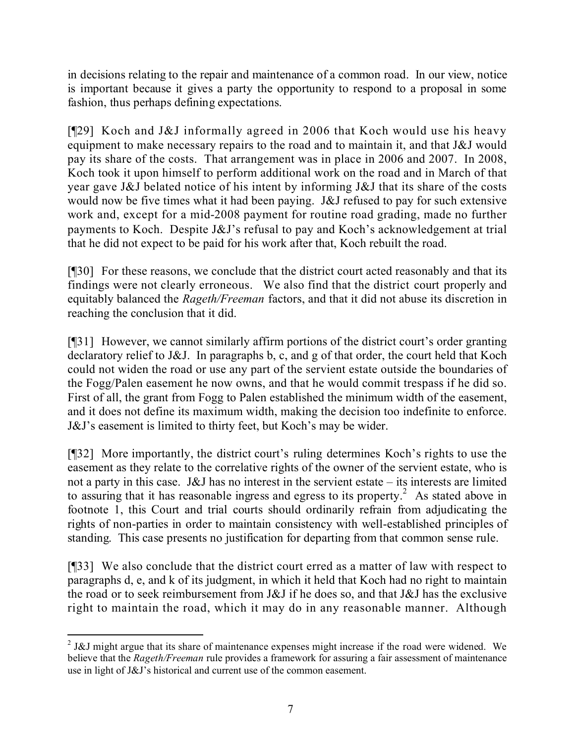in decisions relating to the repair and maintenance of a common road. In our view, notice is important because it gives a party the opportunity to respond to a proposal in some fashion, thus perhaps defining expectations.

[¶29] Koch and J&J informally agreed in 2006 that Koch would use his heavy equipment to make necessary repairs to the road and to maintain it, and that J&J would pay its share of the costs. That arrangement was in place in 2006 and 2007. In 2008, Koch took it upon himself to perform additional work on the road and in March of that year gave J&J belated notice of his intent by informing J&J that its share of the costs would now be five times what it had been paying. J&J refused to pay for such extensive work and, except for a mid-2008 payment for routine road grading, made no further payments to Koch. Despite J&J's refusal to pay and Koch's acknowledgement at trial that he did not expect to be paid for his work after that, Koch rebuilt the road.

[¶30] For these reasons, we conclude that the district court acted reasonably and that its findings were not clearly erroneous. We also find that the district court properly and equitably balanced the *Rageth/Freeman* factors, and that it did not abuse its discretion in reaching the conclusion that it did.

[¶31] However, we cannot similarly affirm portions of the district court's order granting declaratory relief to J&J. In paragraphs b, c, and g of that order, the court held that Koch could not widen the road or use any part of the servient estate outside the boundaries of the Fogg/Palen easement he now owns, and that he would commit trespass if he did so. First of all, the grant from Fogg to Palen established the minimum width of the easement, and it does not define its maximum width, making the decision too indefinite to enforce. J&J's easement is limited to thirty feet, but Koch's may be wider.

[¶32] More importantly, the district court's ruling determines Koch's rights to use the easement as they relate to the correlative rights of the owner of the servient estate, who is not a party in this case. J&J has no interest in the servient estate – its interests are limited to assuring that it has reasonable ingress and egress to its property.<sup>2</sup> As stated above in footnote 1, this Court and trial courts should ordinarily refrain from adjudicating the rights of non-parties in order to maintain consistency with well-established principles of standing. This case presents no justification for departing from that common sense rule.

[¶33] We also conclude that the district court erred as a matter of law with respect to paragraphs d, e, and k of its judgment, in which it held that Koch had no right to maintain the road or to seek reimbursement from J&J if he does so, and that J&J has the exclusive right to maintain the road, which it may do in any reasonable manner. Although

  $2$  J&J might argue that its share of maintenance expenses might increase if the road were widened. We believe that the *Rageth/Freeman* rule provides a framework for assuring a fair assessment of maintenance use in light of J&J's historical and current use of the common easement.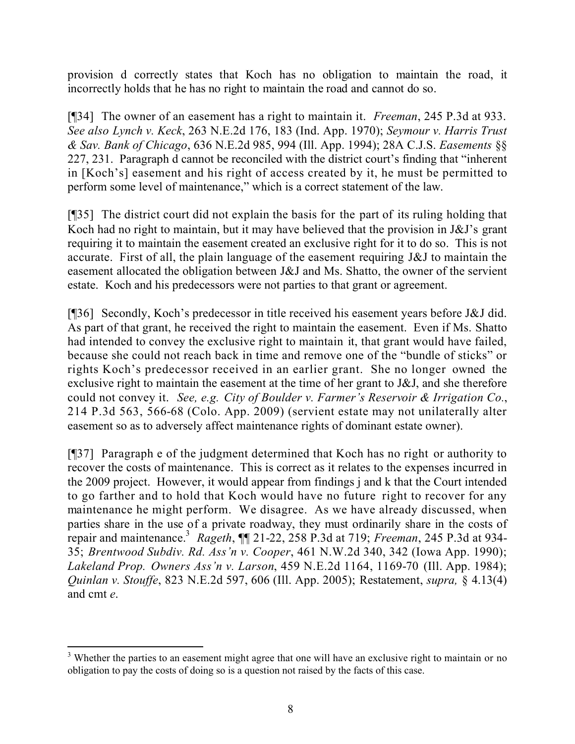provision d correctly states that Koch has no obligation to maintain the road, it incorrectly holds that he has no right to maintain the road and cannot do so.

[¶34] The owner of an easement has a right to maintain it. *Freeman*, 245 P.3d at 933. *See also Lynch v. Keck*, 263 N.E.2d 176, 183 (Ind. App. 1970); *Seymour v. Harris Trust & Sav. Bank of Chicago*, 636 N.E.2d 985, 994 (Ill. App. 1994); 28A C.J.S. *Easements* §§ 227, 231. Paragraph d cannot be reconciled with the district court's finding that "inherent in [Koch's] easement and his right of access created by it, he must be permitted to perform some level of maintenance," which is a correct statement of the law.

[¶35] The district court did not explain the basis for the part of its ruling holding that Koch had no right to maintain, but it may have believed that the provision in J&J's grant requiring it to maintain the easement created an exclusive right for it to do so. This is not accurate. First of all, the plain language of the easement requiring J&J to maintain the easement allocated the obligation between J&J and Ms. Shatto, the owner of the servient estate. Koch and his predecessors were not parties to that grant or agreement.

[¶36] Secondly, Koch's predecessor in title received his easement years before J&J did. As part of that grant, he received the right to maintain the easement. Even if Ms. Shatto had intended to convey the exclusive right to maintain it, that grant would have failed, because she could not reach back in time and remove one of the "bundle of sticks" or rights Koch's predecessor received in an earlier grant. She no longer owned the exclusive right to maintain the easement at the time of her grant to J&J, and she therefore could not convey it. *See, e.g. City of Boulder v. Farmer's Reservoir & Irrigation Co.*, 214 P.3d 563, 566-68 (Colo. App. 2009) (servient estate may not unilaterally alter easement so as to adversely affect maintenance rights of dominant estate owner).

[¶37] Paragraph e of the judgment determined that Koch has no right or authority to recover the costs of maintenance. This is correct as it relates to the expenses incurred in the 2009 project. However, it would appear from findings j and k that the Court intended to go farther and to hold that Koch would have no future right to recover for any maintenance he might perform. We disagree. As we have already discussed, when parties share in the use of a private roadway, they must ordinarily share in the costs of repair and maintenance.<sup>3</sup> *Rageth*, ¶¶ 21-22, 258 P.3d at 719; *Freeman*, 245 P.3d at 934- 35; *Brentwood Subdiv. Rd. Ass'n v. Cooper*, 461 N.W.2d 340, 342 (Iowa App. 1990); *Lakeland Prop. Owners Ass'n v. Larson*, 459 N.E.2d 1164, 1169-70 (Ill. App. 1984); *Quinlan v. Stouffe*, 823 N.E.2d 597, 606 (Ill. App. 2005); Restatement, *supra,* § 4.13(4) and cmt *e*.

 $\overline{a}$ <sup>3</sup> Whether the parties to an easement might agree that one will have an exclusive right to maintain or no obligation to pay the costs of doing so is a question not raised by the facts of this case.